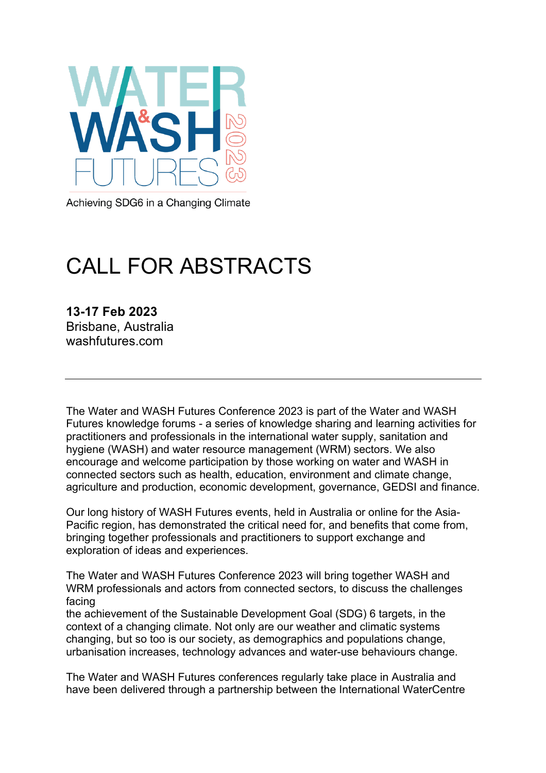

Achieving SDG6 in a Changing Climate

# CALL FOR ABSTRACTS

**13-17 Feb 2023** Brisbane, Australia washfutures.com

The Water and WASH Futures Conference 2023 is part of the Water and WASH Futures knowledge forums - a series of knowledge sharing and learning activities for practitioners and professionals in the international water supply, sanitation and hygiene (WASH) and water resource management (WRM) sectors. We also encourage and welcome participation by those working on water and WASH in connected sectors such as health, education, environment and climate change, agriculture and production, economic development, governance, GEDSI and finance.

Our long history of WASH Futures events, held in Australia or online for the Asia-Pacific region, has demonstrated the critical need for, and benefits that come from, bringing together professionals and practitioners to support exchange and exploration of ideas and experiences.

The Water and WASH Futures Conference 2023 will bring together WASH and WRM professionals and actors from connected sectors, to discuss the challenges facing

the achievement of the Sustainable Development Goal (SDG) 6 targets, in the context of a changing climate. Not only are our weather and climatic systems changing, but so too is our society, as demographics and populations change, urbanisation increases, technology advances and water-use behaviours change.

The Water and WASH Futures conferences regularly take place in Australia and have been delivered through a partnership between the International WaterCentre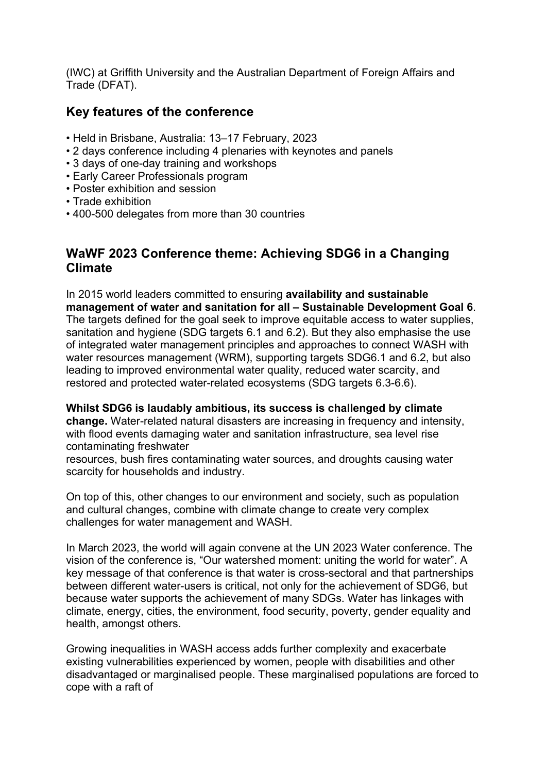(IWC) at Griffith University and the Australian Department of Foreign Affairs and Trade (DFAT).

## **Key features of the conference**

- Held in Brisbane, Australia: 13–17 February, 2023
- 2 days conference including 4 plenaries with keynotes and panels
- 3 days of one-day training and workshops
- Early Career Professionals program
- Poster exhibition and session
- Trade exhibition
- 400-500 delegates from more than 30 countries

## **WaWF 2023 Conference theme: Achieving SDG6 in a Changing Climate**

In 2015 world leaders committed to ensuring **availability and sustainable management of water and sanitation for all – Sustainable Development Goal 6**. The targets defined for the goal seek to improve equitable access to water supplies, sanitation and hygiene (SDG targets 6.1 and 6.2). But they also emphasise the use of integrated water management principles and approaches to connect WASH with water resources management (WRM), supporting targets SDG6.1 and 6.2, but also leading to improved environmental water quality, reduced water scarcity, and restored and protected water-related ecosystems (SDG targets 6.3-6.6).

#### **Whilst SDG6 is laudably ambitious, its success is challenged by climate**

**change.** Water-related natural disasters are increasing in frequency and intensity, with flood events damaging water and sanitation infrastructure, sea level rise contaminating freshwater

resources, bush fires contaminating water sources, and droughts causing water scarcity for households and industry.

On top of this, other changes to our environment and society, such as population and cultural changes, combine with climate change to create very complex challenges for water management and WASH.

In March 2023, the world will again convene at the UN 2023 Water conference. The vision of the conference is, "Our watershed moment: uniting the world for water". A key message of that conference is that water is cross-sectoral and that partnerships between different water-users is critical, not only for the achievement of SDG6, but because water supports the achievement of many SDGs. Water has linkages with climate, energy, cities, the environment, food security, poverty, gender equality and health, amongst others.

Growing inequalities in WASH access adds further complexity and exacerbate existing vulnerabilities experienced by women, people with disabilities and other disadvantaged or marginalised people. These marginalised populations are forced to cope with a raft of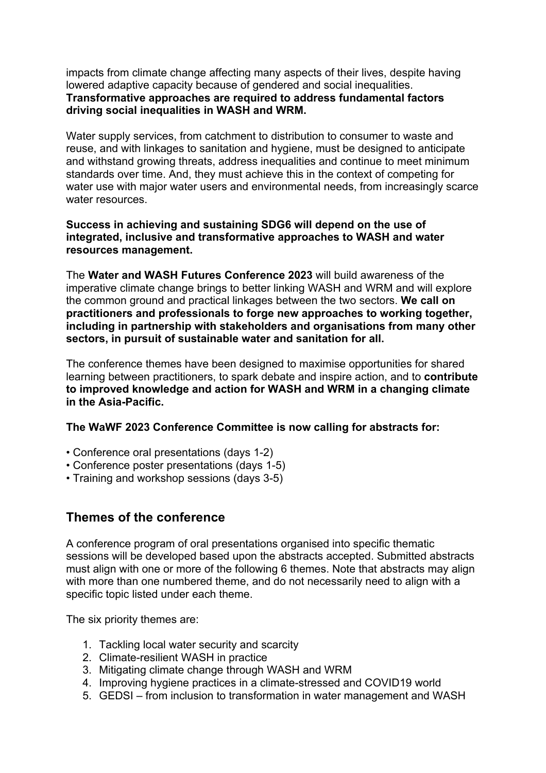impacts from climate change affecting many aspects of their lives, despite having lowered adaptive capacity because of gendered and social inequalities. **Transformative approaches are required to address fundamental factors driving social inequalities in WASH and WRM.**

Water supply services, from catchment to distribution to consumer to waste and reuse, and with linkages to sanitation and hygiene, must be designed to anticipate and withstand growing threats, address inequalities and continue to meet minimum standards over time. And, they must achieve this in the context of competing for water use with major water users and environmental needs, from increasingly scarce water resources.

#### **Success in achieving and sustaining SDG6 will depend on the use of integrated, inclusive and transformative approaches to WASH and water resources management.**

The **Water and WASH Futures Conference 2023** will build awareness of the imperative climate change brings to better linking WASH and WRM and will explore the common ground and practical linkages between the two sectors. **We call on practitioners and professionals to forge new approaches to working together, including in partnership with stakeholders and organisations from many other sectors, in pursuit of sustainable water and sanitation for all.** 

The conference themes have been designed to maximise opportunities for shared learning between practitioners, to spark debate and inspire action, and to **contribute to improved knowledge and action for WASH and WRM in a changing climate in the Asia-Pacific.**

**The WaWF 2023 Conference Committee is now calling for abstracts for:**

- Conference oral presentations (days 1-2)
- Conference poster presentations (days 1-5)
- Training and workshop sessions (days 3-5)

## **Themes of the conference**

A conference program of oral presentations organised into specific thematic sessions will be developed based upon the abstracts accepted. Submitted abstracts must align with one or more of the following 6 themes. Note that abstracts may align with more than one numbered theme, and do not necessarily need to align with a specific topic listed under each theme.

The six priority themes are:

- 1. Tackling local water security and scarcity
- 2. Climate-resilient WASH in practice
- 3. Mitigating climate change through WASH and WRM
- 4. Improving hygiene practices in a climate-stressed and COVID19 world
- 5. GEDSI from inclusion to transformation in water management and WASH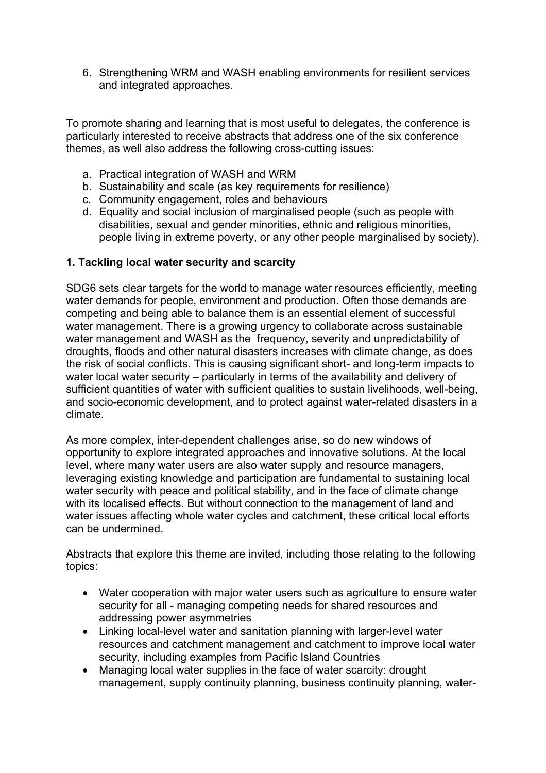6. Strengthening WRM and WASH enabling environments for resilient services and integrated approaches.

To promote sharing and learning that is most useful to delegates, the conference is particularly interested to receive abstracts that address one of the six conference themes, as well also address the following cross-cutting issues:

- a. Practical integration of WASH and WRM
- b. Sustainability and scale (as key requirements for resilience)
- c. Community engagement, roles and behaviours
- d. Equality and social inclusion of marginalised people (such as people with disabilities, sexual and gender minorities, ethnic and religious minorities, people living in extreme poverty, or any other people marginalised by society).

#### **1. Tackling local water security and scarcity**

SDG6 sets clear targets for the world to manage water resources efficiently, meeting water demands for people, environment and production. Often those demands are competing and being able to balance them is an essential element of successful water management. There is a growing urgency to collaborate across sustainable water management and WASH as the frequency, severity and unpredictability of droughts, floods and other natural disasters increases with climate change, as does the risk of social conflicts. This is causing significant short- and long-term impacts to water local water security – particularly in terms of the availability and delivery of sufficient quantities of water with sufficient qualities to sustain livelihoods, well-being, and socio-economic development, and to protect against water-related disasters in a climate.

As more complex, inter-dependent challenges arise, so do new windows of opportunity to explore integrated approaches and innovative solutions. At the local level, where many water users are also water supply and resource managers, leveraging existing knowledge and participation are fundamental to sustaining local water security with peace and political stability, and in the face of climate change with its localised effects. But without connection to the management of land and water issues affecting whole water cycles and catchment, these critical local efforts can be undermined.

- Water cooperation with major water users such as agriculture to ensure water security for all - managing competing needs for shared resources and addressing power asymmetries
- Linking local-level water and sanitation planning with larger-level water resources and catchment management and catchment to improve local water security, including examples from Pacific Island Countries
- Managing local water supplies in the face of water scarcity: drought management, supply continuity planning, business continuity planning, water-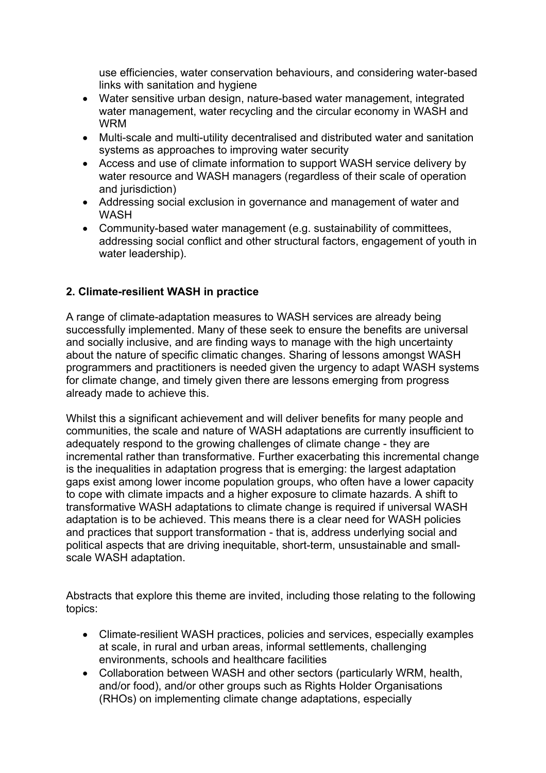use efficiencies, water conservation behaviours, and considering water-based links with sanitation and hygiene

- Water sensitive urban design, nature-based water management, integrated water management, water recycling and the circular economy in WASH and WRM
- Multi-scale and multi-utility decentralised and distributed water and sanitation systems as approaches to improving water security
- Access and use of climate information to support WASH service delivery by water resource and WASH managers (regardless of their scale of operation and jurisdiction)
- Addressing social exclusion in governance and management of water and WASH
- Community-based water management (e.g. sustainability of committees, addressing social conflict and other structural factors, engagement of youth in water leadership).

#### **2. Climate-resilient WASH in practice**

A range of climate-adaptation measures to WASH services are already being successfully implemented. Many of these seek to ensure the benefits are universal and socially inclusive, and are finding ways to manage with the high uncertainty about the nature of specific climatic changes. Sharing of lessons amongst WASH programmers and practitioners is needed given the urgency to adapt WASH systems for climate change, and timely given there are lessons emerging from progress already made to achieve this.

Whilst this a significant achievement and will deliver benefits for many people and communities, the scale and nature of WASH adaptations are currently insufficient to adequately respond to the growing challenges of climate change - they are incremental rather than transformative. Further exacerbating this incremental change is the inequalities in adaptation progress that is emerging: the largest adaptation gaps exist among lower income population groups, who often have a lower capacity to cope with climate impacts and a higher exposure to climate hazards. A shift to transformative WASH adaptations to climate change is required if universal WASH adaptation is to be achieved. This means there is a clear need for WASH policies and practices that support transformation - that is, address underlying social and political aspects that are driving inequitable, short-term, unsustainable and smallscale WASH adaptation.

- Climate-resilient WASH practices, policies and services, especially examples at scale, in rural and urban areas, informal settlements, challenging environments, schools and healthcare facilities
- Collaboration between WASH and other sectors (particularly WRM, health, and/or food), and/or other groups such as Rights Holder Organisations (RHOs) on implementing climate change adaptations, especially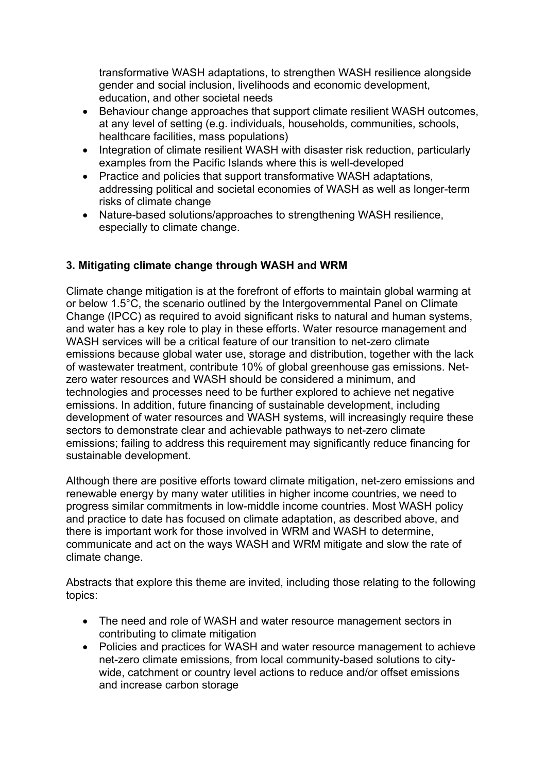transformative WASH adaptations, to strengthen WASH resilience alongside gender and social inclusion, livelihoods and economic development, education, and other societal needs

- Behaviour change approaches that support climate resilient WASH outcomes, at any level of setting (e.g. individuals, households, communities, schools, healthcare facilities, mass populations)
- Integration of climate resilient WASH with disaster risk reduction, particularly examples from the Pacific Islands where this is well-developed
- Practice and policies that support transformative WASH adaptations, addressing political and societal economies of WASH as well as longer-term risks of climate change
- Nature-based solutions/approaches to strengthening WASH resilience, especially to climate change.

#### **3. Mitigating climate change through WASH and WRM**

Climate change mitigation is at the forefront of efforts to maintain global warming at or below 1.5°C, the scenario outlined by the Intergovernmental Panel on Climate Change (IPCC) as required to avoid significant risks to natural and human systems, and water has a key role to play in these efforts. Water resource management and WASH services will be a critical feature of our transition to net-zero climate emissions because global water use, storage and distribution, together with the lack of wastewater treatment, contribute 10% of global greenhouse gas emissions. Netzero water resources and WASH should be considered a minimum, and technologies and processes need to be further explored to achieve net negative emissions. In addition, future financing of sustainable development, including development of water resources and WASH systems, will increasingly require these sectors to demonstrate clear and achievable pathways to net-zero climate emissions; failing to address this requirement may significantly reduce financing for sustainable development.

Although there are positive efforts toward climate mitigation, net-zero emissions and renewable energy by many water utilities in higher income countries, we need to progress similar commitments in low-middle income countries. Most WASH policy and practice to date has focused on climate adaptation, as described above, and there is important work for those involved in WRM and WASH to determine, communicate and act on the ways WASH and WRM mitigate and slow the rate of climate change.

- The need and role of WASH and water resource management sectors in contributing to climate mitigation
- Policies and practices for WASH and water resource management to achieve net-zero climate emissions, from local community-based solutions to citywide, catchment or country level actions to reduce and/or offset emissions and increase carbon storage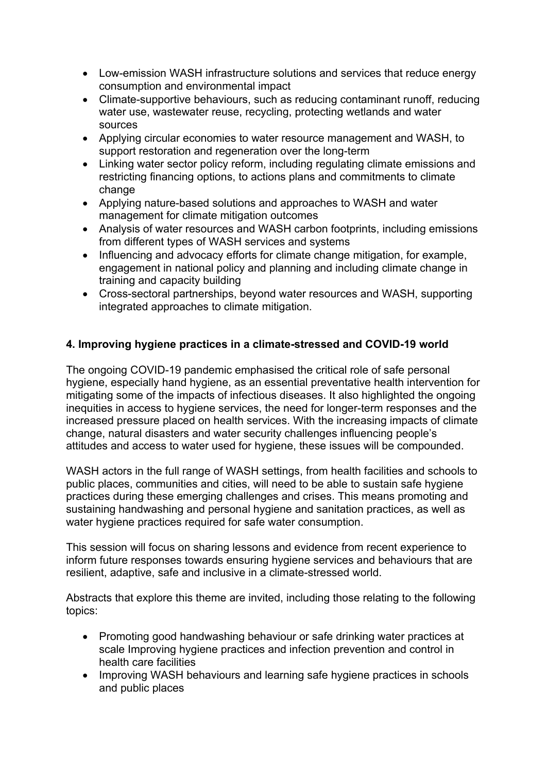- Low-emission WASH infrastructure solutions and services that reduce energy consumption and environmental impact
- Climate-supportive behaviours, such as reducing contaminant runoff, reducing water use, wastewater reuse, recycling, protecting wetlands and water sources
- Applying circular economies to water resource management and WASH, to support restoration and regeneration over the long-term
- Linking water sector policy reform, including regulating climate emissions and restricting financing options, to actions plans and commitments to climate change
- Applying nature-based solutions and approaches to WASH and water management for climate mitigation outcomes
- Analysis of water resources and WASH carbon footprints, including emissions from different types of WASH services and systems
- Influencing and advocacy efforts for climate change mitigation, for example, engagement in national policy and planning and including climate change in training and capacity building
- Cross-sectoral partnerships, beyond water resources and WASH, supporting integrated approaches to climate mitigation.

#### **4. Improving hygiene practices in a climate-stressed and COVID-19 world**

The ongoing COVID-19 pandemic emphasised the critical role of safe personal hygiene, especially hand hygiene, as an essential preventative health intervention for mitigating some of the impacts of infectious diseases. It also highlighted the ongoing inequities in access to hygiene services, the need for longer-term responses and the increased pressure placed on health services. With the increasing impacts of climate change, natural disasters and water security challenges influencing people's attitudes and access to water used for hygiene, these issues will be compounded.

WASH actors in the full range of WASH settings, from health facilities and schools to public places, communities and cities, will need to be able to sustain safe hygiene practices during these emerging challenges and crises. This means promoting and sustaining handwashing and personal hygiene and sanitation practices, as well as water hygiene practices required for safe water consumption.

This session will focus on sharing lessons and evidence from recent experience to inform future responses towards ensuring hygiene services and behaviours that are resilient, adaptive, safe and inclusive in a climate-stressed world.

- Promoting good handwashing behaviour or safe drinking water practices at scale Improving hygiene practices and infection prevention and control in health care facilities
- Improving WASH behaviours and learning safe hygiene practices in schools and public places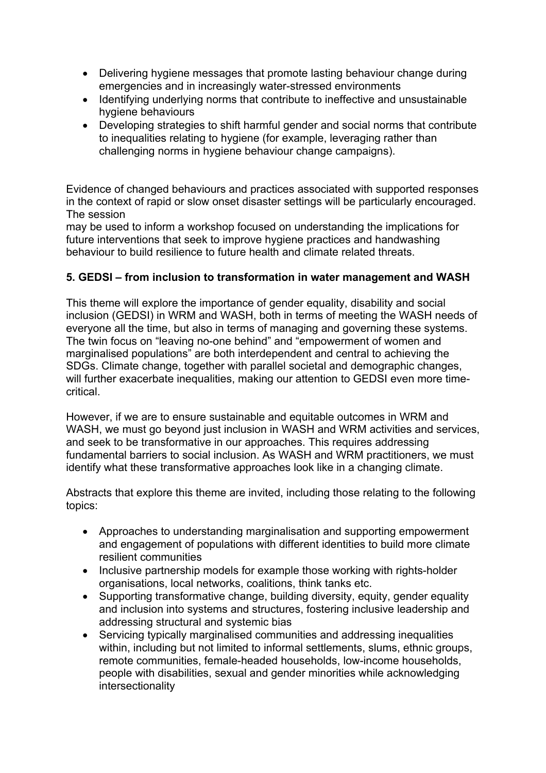- Delivering hygiene messages that promote lasting behaviour change during emergencies and in increasingly water-stressed environments
- Identifying underlying norms that contribute to ineffective and unsustainable hygiene behaviours
- Developing strategies to shift harmful gender and social norms that contribute to inequalities relating to hygiene (for example, leveraging rather than challenging norms in hygiene behaviour change campaigns).

Evidence of changed behaviours and practices associated with supported responses in the context of rapid or slow onset disaster settings will be particularly encouraged. The session

may be used to inform a workshop focused on understanding the implications for future interventions that seek to improve hygiene practices and handwashing behaviour to build resilience to future health and climate related threats.

#### **5. GEDSI – from inclusion to transformation in water management and WASH**

This theme will explore the importance of gender equality, disability and social inclusion (GEDSI) in WRM and WASH, both in terms of meeting the WASH needs of everyone all the time, but also in terms of managing and governing these systems. The twin focus on "leaving no-one behind" and "empowerment of women and marginalised populations" are both interdependent and central to achieving the SDGs. Climate change, together with parallel societal and demographic changes, will further exacerbate inequalities, making our attention to GEDSI even more timecritical.

However, if we are to ensure sustainable and equitable outcomes in WRM and WASH, we must go beyond just inclusion in WASH and WRM activities and services, and seek to be transformative in our approaches. This requires addressing fundamental barriers to social inclusion. As WASH and WRM practitioners, we must identify what these transformative approaches look like in a changing climate.

- Approaches to understanding marginalisation and supporting empowerment and engagement of populations with different identities to build more climate resilient communities
- Inclusive partnership models for example those working with rights-holder organisations, local networks, coalitions, think tanks etc.
- Supporting transformative change, building diversity, equity, gender equality and inclusion into systems and structures, fostering inclusive leadership and addressing structural and systemic bias
- Servicing typically marginalised communities and addressing inequalities within, including but not limited to informal settlements, slums, ethnic groups, remote communities, female-headed households, low-income households, people with disabilities, sexual and gender minorities while acknowledging intersectionality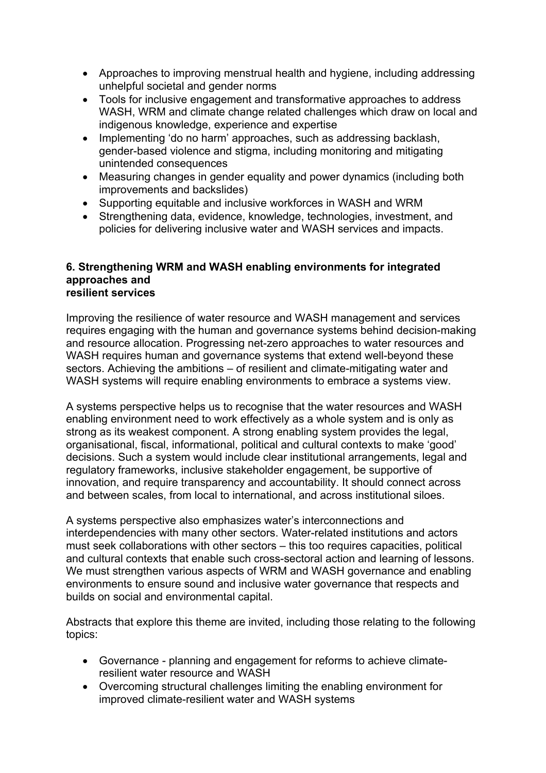- Approaches to improving menstrual health and hygiene, including addressing unhelpful societal and gender norms
- Tools for inclusive engagement and transformative approaches to address WASH, WRM and climate change related challenges which draw on local and indigenous knowledge, experience and expertise
- Implementing 'do no harm' approaches, such as addressing backlash, gender-based violence and stigma, including monitoring and mitigating unintended consequences
- Measuring changes in gender equality and power dynamics (including both improvements and backslides)
- Supporting equitable and inclusive workforces in WASH and WRM
- Strengthening data, evidence, knowledge, technologies, investment, and policies for delivering inclusive water and WASH services and impacts.

#### **6. Strengthening WRM and WASH enabling environments for integrated approaches and resilient services**

Improving the resilience of water resource and WASH management and services requires engaging with the human and governance systems behind decision-making and resource allocation. Progressing net-zero approaches to water resources and WASH requires human and governance systems that extend well-beyond these sectors. Achieving the ambitions – of resilient and climate-mitigating water and WASH systems will require enabling environments to embrace a systems view.

A systems perspective helps us to recognise that the water resources and WASH enabling environment need to work effectively as a whole system and is only as strong as its weakest component. A strong enabling system provides the legal, organisational, fiscal, informational, political and cultural contexts to make 'good' decisions. Such a system would include clear institutional arrangements, legal and regulatory frameworks, inclusive stakeholder engagement, be supportive of innovation, and require transparency and accountability. It should connect across and between scales, from local to international, and across institutional siloes.

A systems perspective also emphasizes water's interconnections and interdependencies with many other sectors. Water-related institutions and actors must seek collaborations with other sectors – this too requires capacities, political and cultural contexts that enable such cross-sectoral action and learning of lessons. We must strengthen various aspects of WRM and WASH governance and enabling environments to ensure sound and inclusive water governance that respects and builds on social and environmental capital.

- Governance planning and engagement for reforms to achieve climateresilient water resource and WASH
- Overcoming structural challenges limiting the enabling environment for improved climate-resilient water and WASH systems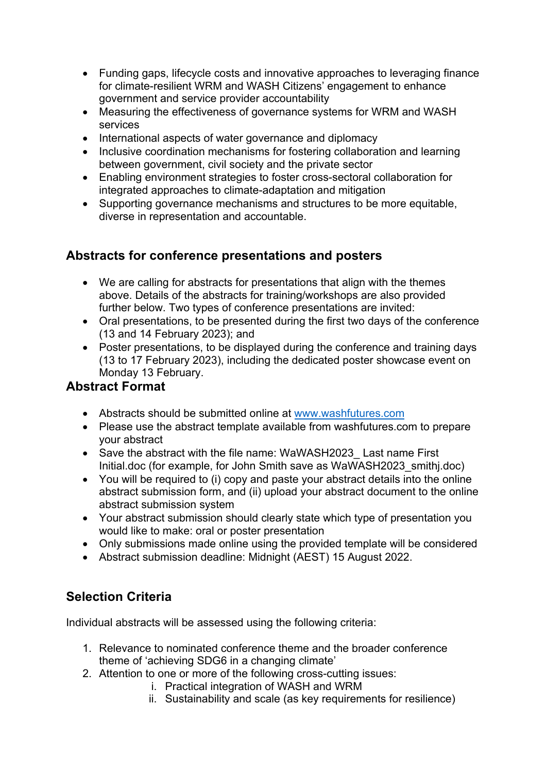- Funding gaps, lifecycle costs and innovative approaches to leveraging finance for climate-resilient WRM and WASH Citizens' engagement to enhance government and service provider accountability
- Measuring the effectiveness of governance systems for WRM and WASH services
- International aspects of water governance and diplomacy
- Inclusive coordination mechanisms for fostering collaboration and learning between government, civil society and the private sector
- Enabling environment strategies to foster cross-sectoral collaboration for integrated approaches to climate-adaptation and mitigation
- Supporting governance mechanisms and structures to be more equitable, diverse in representation and accountable.

## **Abstracts for conference presentations and posters**

- We are calling for abstracts for presentations that align with the themes above. Details of the abstracts for training/workshops are also provided further below. Two types of conference presentations are invited:
- Oral presentations, to be presented during the first two days of the conference (13 and 14 February 2023); and
- Poster presentations, to be displayed during the conference and training days (13 to 17 February 2023), including the dedicated poster showcase event on Monday 13 February.

## **Abstract Format**

- Abstracts should be submitted online at www.washfutures.com
- Please use the abstract template available from washfutures.com to prepare your abstract
- Save the abstract with the file name: WaWASH2023 Last name First Initial.doc (for example, for John Smith save as WaWASH2023\_smithj.doc)
- You will be required to (i) copy and paste your abstract details into the online abstract submission form, and (ii) upload your abstract document to the online abstract submission system
- Your abstract submission should clearly state which type of presentation you would like to make: oral or poster presentation
- Only submissions made online using the provided template will be considered
- Abstract submission deadline: Midnight (AEST) 15 August 2022.

# **Selection Criteria**

Individual abstracts will be assessed using the following criteria:

- 1. Relevance to nominated conference theme and the broader conference theme of 'achieving SDG6 in a changing climate'
- 2. Attention to one or more of the following cross-cutting issues:
	- i. Practical integration of WASH and WRM
	- ii. Sustainability and scale (as key requirements for resilience)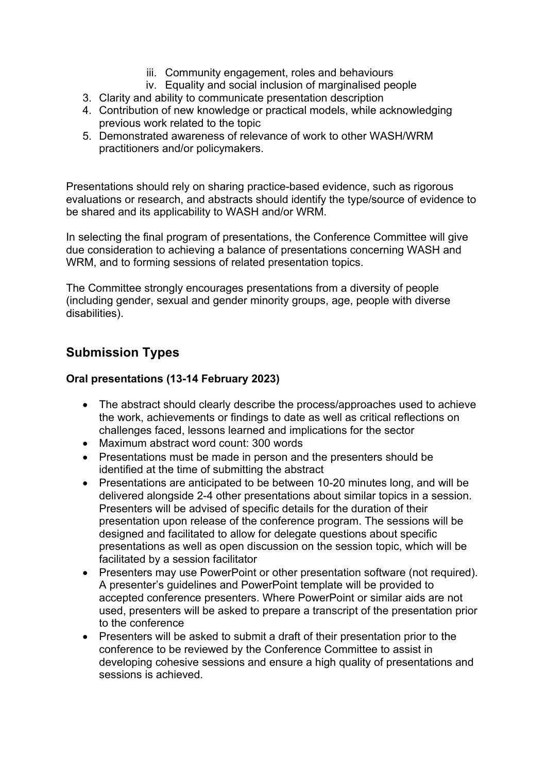- iii. Community engagement, roles and behaviours
- iv. Equality and social inclusion of marginalised people
- 3. Clarity and ability to communicate presentation description
- 4. Contribution of new knowledge or practical models, while acknowledging previous work related to the topic
- 5. Demonstrated awareness of relevance of work to other WASH/WRM practitioners and/or policymakers.

Presentations should rely on sharing practice-based evidence, such as rigorous evaluations or research, and abstracts should identify the type/source of evidence to be shared and its applicability to WASH and/or WRM.

In selecting the final program of presentations, the Conference Committee will give due consideration to achieving a balance of presentations concerning WASH and WRM, and to forming sessions of related presentation topics.

The Committee strongly encourages presentations from a diversity of people (including gender, sexual and gender minority groups, age, people with diverse disabilities).

## **Submission Types**

#### **Oral presentations (13-14 February 2023)**

- The abstract should clearly describe the process/approaches used to achieve the work, achievements or findings to date as well as critical reflections on challenges faced, lessons learned and implications for the sector
- Maximum abstract word count: 300 words
- Presentations must be made in person and the presenters should be identified at the time of submitting the abstract
- Presentations are anticipated to be between 10-20 minutes long, and will be delivered alongside 2-4 other presentations about similar topics in a session. Presenters will be advised of specific details for the duration of their presentation upon release of the conference program. The sessions will be designed and facilitated to allow for delegate questions about specific presentations as well as open discussion on the session topic, which will be facilitated by a session facilitator
- Presenters may use PowerPoint or other presentation software (not required). A presenter's guidelines and PowerPoint template will be provided to accepted conference presenters. Where PowerPoint or similar aids are not used, presenters will be asked to prepare a transcript of the presentation prior to the conference
- Presenters will be asked to submit a draft of their presentation prior to the conference to be reviewed by the Conference Committee to assist in developing cohesive sessions and ensure a high quality of presentations and sessions is achieved.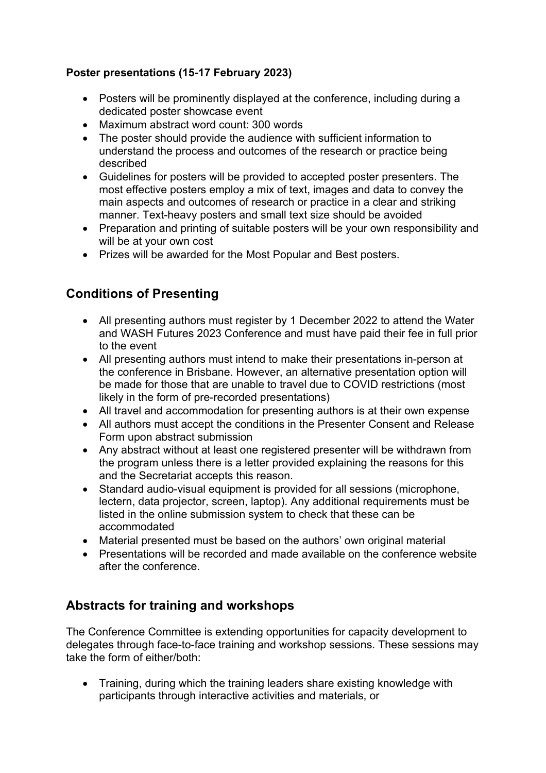#### **Poster presentations (15-17 February 2023)**

- Posters will be prominently displayed at the conference, including during a dedicated poster showcase event
- Maximum abstract word count: 300 words
- The poster should provide the audience with sufficient information to understand the process and outcomes of the research or practice being described
- Guidelines for posters will be provided to accepted poster presenters. The most effective posters employ a mix of text, images and data to convey the main aspects and outcomes of research or practice in a clear and striking manner. Text-heavy posters and small text size should be avoided
- Preparation and printing of suitable posters will be your own responsibility and will be at your own cost
- Prizes will be awarded for the Most Popular and Best posters.

# **Conditions of Presenting**

- All presenting authors must register by 1 December 2022 to attend the Water and WASH Futures 2023 Conference and must have paid their fee in full prior to the event
- All presenting authors must intend to make their presentations in-person at the conference in Brisbane. However, an alternative presentation option will be made for those that are unable to travel due to COVID restrictions (most likely in the form of pre-recorded presentations)
- All travel and accommodation for presenting authors is at their own expense
- All authors must accept the conditions in the Presenter Consent and Release Form upon abstract submission
- Any abstract without at least one registered presenter will be withdrawn from the program unless there is a letter provided explaining the reasons for this and the Secretariat accepts this reason.
- Standard audio-visual equipment is provided for all sessions (microphone, lectern, data projector, screen, laptop). Any additional requirements must be listed in the online submission system to check that these can be accommodated
- Material presented must be based on the authors' own original material
- Presentations will be recorded and made available on the conference website after the conference.

# **Abstracts for training and workshops**

The Conference Committee is extending opportunities for capacity development to delegates through face-to-face training and workshop sessions. These sessions may take the form of either/both:

• Training, during which the training leaders share existing knowledge with participants through interactive activities and materials, or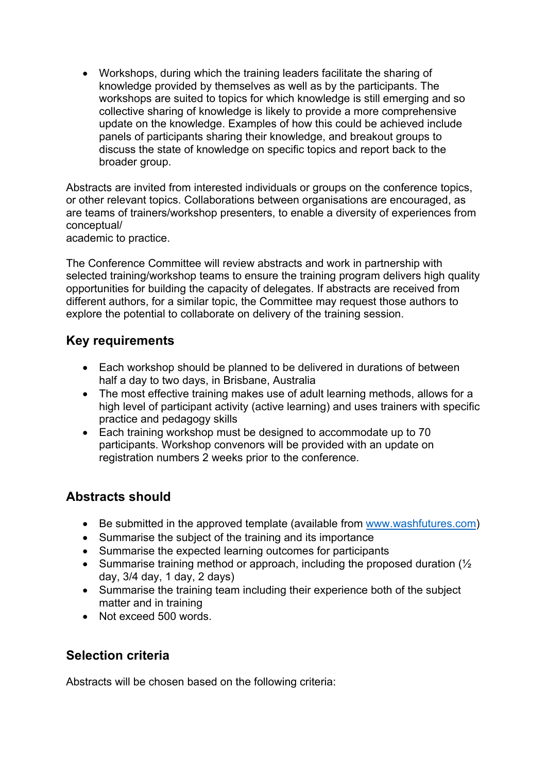• Workshops, during which the training leaders facilitate the sharing of knowledge provided by themselves as well as by the participants. The workshops are suited to topics for which knowledge is still emerging and so collective sharing of knowledge is likely to provide a more comprehensive update on the knowledge. Examples of how this could be achieved include panels of participants sharing their knowledge, and breakout groups to discuss the state of knowledge on specific topics and report back to the broader group.

Abstracts are invited from interested individuals or groups on the conference topics, or other relevant topics. Collaborations between organisations are encouraged, as are teams of trainers/workshop presenters, to enable a diversity of experiences from conceptual/

academic to practice.

The Conference Committee will review abstracts and work in partnership with selected training/workshop teams to ensure the training program delivers high quality opportunities for building the capacity of delegates. If abstracts are received from different authors, for a similar topic, the Committee may request those authors to explore the potential to collaborate on delivery of the training session.

## **Key requirements**

- Each workshop should be planned to be delivered in durations of between half a day to two days, in Brisbane, Australia
- The most effective training makes use of adult learning methods, allows for a high level of participant activity (active learning) and uses trainers with specific practice and pedagogy skills
- Each training workshop must be designed to accommodate up to 70 participants. Workshop convenors will be provided with an update on registration numbers 2 weeks prior to the conference.

## **Abstracts should**

- Be submitted in the approved template (available from www.washfutures.com)
- Summarise the subject of the training and its importance
- Summarise the expected learning outcomes for participants
- Summarise training method or approach, including the proposed duration ( $\frac{1}{2}$ ) day, 3/4 day, 1 day, 2 days)
- Summarise the training team including their experience both of the subject matter and in training
- Not exceed 500 words.

## **Selection criteria**

Abstracts will be chosen based on the following criteria: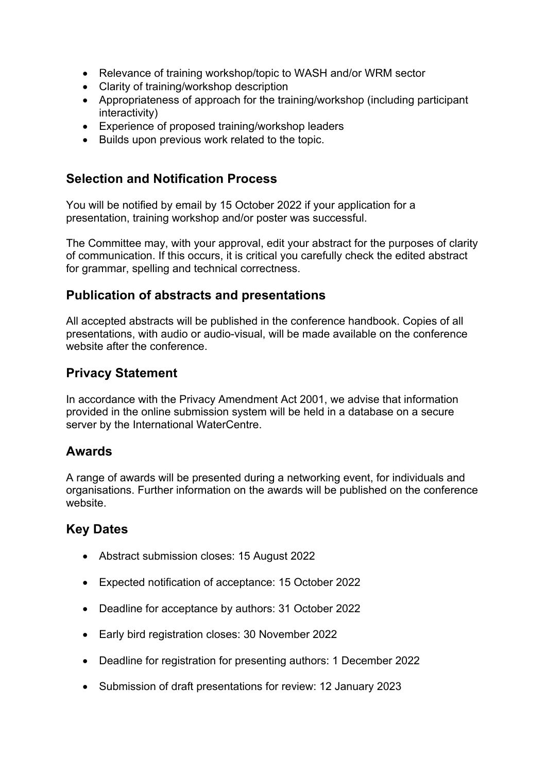- Relevance of training workshop/topic to WASH and/or WRM sector
- Clarity of training/workshop description
- Appropriateness of approach for the training/workshop (including participant interactivity)
- Experience of proposed training/workshop leaders
- Builds upon previous work related to the topic.

## **Selection and Notification Process**

You will be notified by email by 15 October 2022 if your application for a presentation, training workshop and/or poster was successful.

The Committee may, with your approval, edit your abstract for the purposes of clarity of communication. If this occurs, it is critical you carefully check the edited abstract for grammar, spelling and technical correctness.

## **Publication of abstracts and presentations**

All accepted abstracts will be published in the conference handbook. Copies of all presentations, with audio or audio-visual, will be made available on the conference website after the conference.

## **Privacy Statement**

In accordance with the Privacy Amendment Act 2001, we advise that information provided in the online submission system will be held in a database on a secure server by the International WaterCentre.

## **Awards**

A range of awards will be presented during a networking event, for individuals and organisations. Further information on the awards will be published on the conference website.

## **Key Dates**

- Abstract submission closes: 15 August 2022
- Expected notification of acceptance: 15 October 2022
- Deadline for acceptance by authors: 31 October 2022
- Early bird registration closes: 30 November 2022
- Deadline for registration for presenting authors: 1 December 2022
- Submission of draft presentations for review: 12 January 2023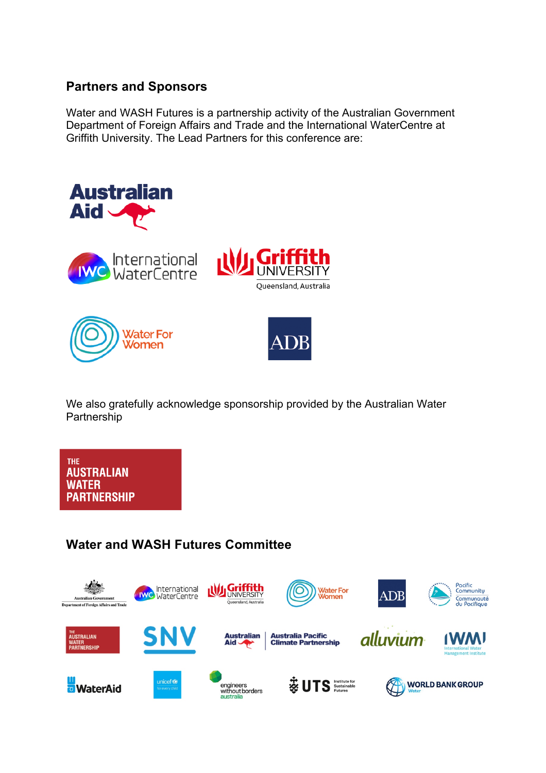## **Partners and Sponsors**

Water and WASH Futures is a partnership activity of the Australian Government Department of Foreign Affairs and Trade and the International WaterCentre at Griffith University. The Lead Partners for this conference are:



We also gratefully acknowledge sponsorship provided by the Australian Water Partnership

**THE AUSTRALIAN WATER PARTNERSHIP** 

# **Water and WASH Futures Committee**